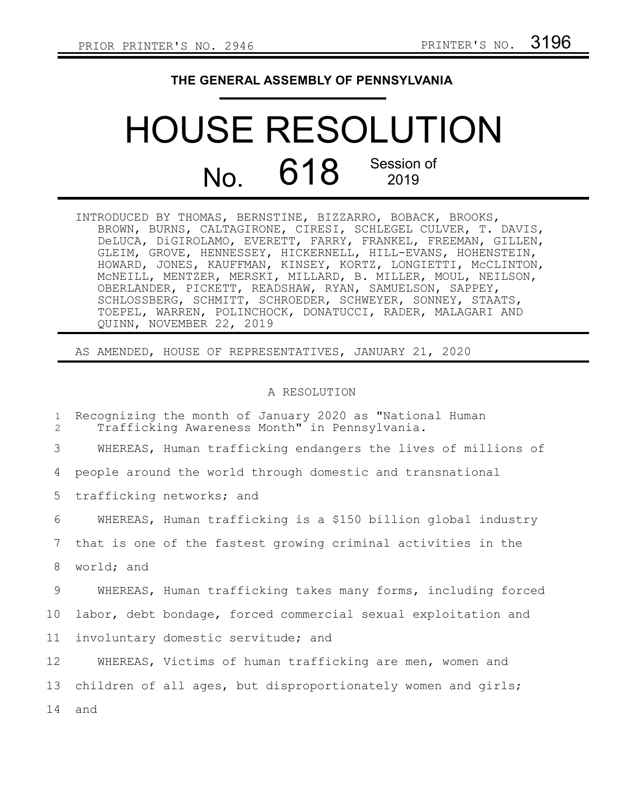## **THE GENERAL ASSEMBLY OF PENNSYLVANIA**

## HOUSE RESOLUTION No. 618 Session of 2019

INTRODUCED BY THOMAS, BERNSTINE, BIZZARRO, BOBACK, BROOKS, BROWN, BURNS, CALTAGIRONE, CIRESI, SCHLEGEL CULVER, T. DAVIS, DeLUCA, DiGIROLAMO, EVERETT, FARRY, FRANKEL, FREEMAN, GILLEN, GLEIM, GROVE, HENNESSEY, HICKERNELL, HILL-EVANS, HOHENSTEIN, HOWARD, JONES, KAUFFMAN, KINSEY, KORTZ, LONGIETTI, McCLINTON, McNEILL, MENTZER, MERSKI, MILLARD, B. MILLER, MOUL, NEILSON, OBERLANDER, PICKETT, READSHAW, RYAN, SAMUELSON, SAPPEY, SCHLOSSBERG, SCHMITT, SCHROEDER, SCHWEYER, SONNEY, STAATS, TOEPEL, WARREN, POLINCHOCK, DONATUCCI, RADER, MALAGARI AND QUINN, NOVEMBER 22, 2019

AS AMENDED, HOUSE OF REPRESENTATIVES, JANUARY 21, 2020

## A RESOLUTION

Recognizing the month of January 2020 as "National Human Trafficking Awareness Month" in Pennsylvania. WHEREAS, Human trafficking endangers the lives of millions of people around the world through domestic and transnational trafficking networks; and WHEREAS, Human trafficking is a \$150 billion global industry that is one of the fastest growing criminal activities in the world; and WHEREAS, Human trafficking takes many forms, including forced labor, debt bondage, forced commercial sexual exploitation and involuntary domestic servitude; and WHEREAS, Victims of human trafficking are men, women and children of all ages, but disproportionately women and girls; and 1 2 3 4 5 6 7 8 9 10 11 12 13 14